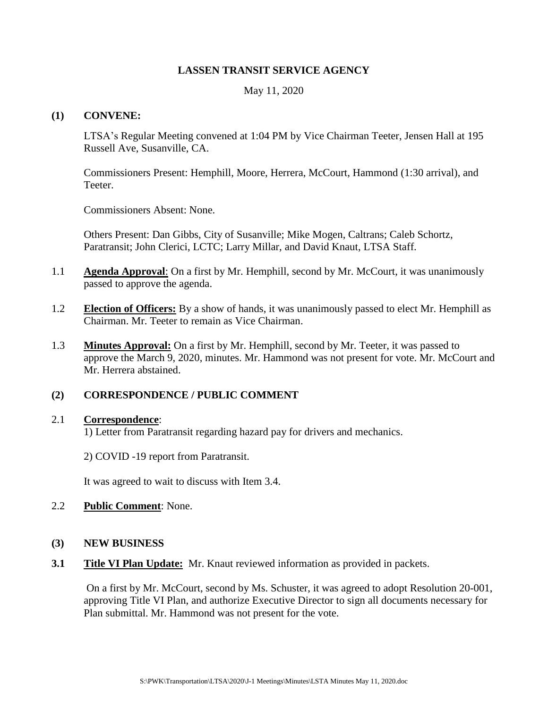## **LASSEN TRANSIT SERVICE AGENCY**

May 11, 2020

#### **(1) CONVENE:**

LTSA's Regular Meeting convened at 1:04 PM by Vice Chairman Teeter, Jensen Hall at 195 Russell Ave, Susanville, CA.

Commissioners Present: Hemphill, Moore, Herrera, McCourt, Hammond (1:30 arrival), and Teeter.

Commissioners Absent: None.

Others Present: Dan Gibbs, City of Susanville; Mike Mogen, Caltrans; Caleb Schortz, Paratransit; John Clerici, LCTC; Larry Millar, and David Knaut, LTSA Staff.

- 1.1 **Agenda Approval**: On a first by Mr. Hemphill, second by Mr. McCourt, it was unanimously passed to approve the agenda.
- 1.2 **Election of Officers:** By a show of hands, it was unanimously passed to elect Mr. Hemphill as Chairman. Mr. Teeter to remain as Vice Chairman.
- 1.3 **Minutes Approval:** On a first by Mr. Hemphill, second by Mr. Teeter, it was passed to approve the March 9, 2020, minutes. Mr. Hammond was not present for vote. Mr. McCourt and Mr. Herrera abstained.

# **(2) CORRESPONDENCE / PUBLIC COMMENT**

# 2.1 **Correspondence**:

1) Letter from Paratransit regarding hazard pay for drivers and mechanics.

2) COVID -19 report from Paratransit.

It was agreed to wait to discuss with Item 3.4.

- 2.2 **Public Comment**: None.
- **(3) NEW BUSINESS**
- **3.1 Title VI Plan Update:** Mr. Knaut reviewed information as provided in packets.

On a first by Mr. McCourt, second by Ms. Schuster, it was agreed to adopt Resolution 20-001, approving Title VI Plan, and authorize Executive Director to sign all documents necessary for Plan submittal. Mr. Hammond was not present for the vote.